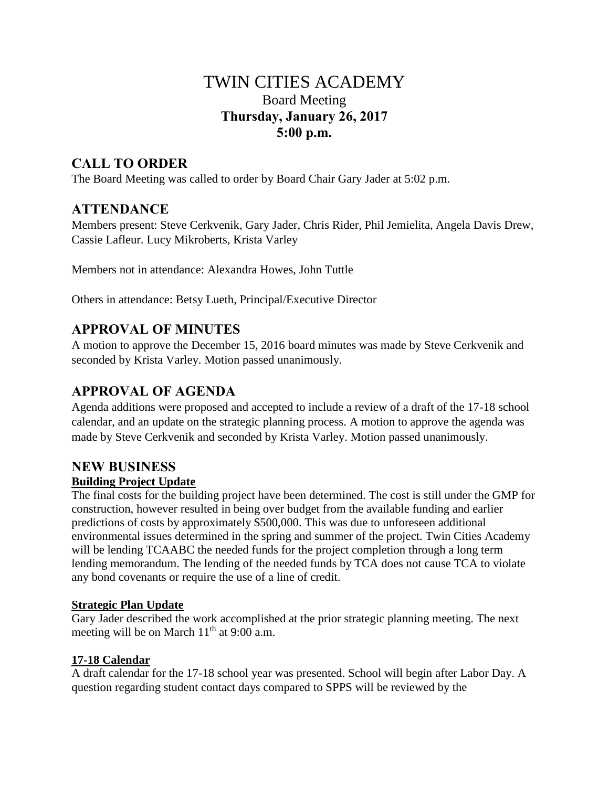# TWIN CITIES ACADEMY Board Meeting **Thursday, January 26, 2017 5:00 p.m.**

# **CALL TO ORDER**

The Board Meeting was called to order by Board Chair Gary Jader at 5:02 p.m.

## **ATTENDANCE**

Members present: Steve Cerkvenik, Gary Jader, Chris Rider, Phil Jemielita, Angela Davis Drew, Cassie Lafleur. Lucy Mikroberts, Krista Varley

Members not in attendance: Alexandra Howes, John Tuttle

Others in attendance: Betsy Lueth, Principal/Executive Director

# **APPROVAL OF MINUTES**

A motion to approve the December 15, 2016 board minutes was made by Steve Cerkvenik and seconded by Krista Varley. Motion passed unanimously.

## **APPROVAL OF AGENDA**

Agenda additions were proposed and accepted to include a review of a draft of the 17-18 school calendar, and an update on the strategic planning process. A motion to approve the agenda was made by Steve Cerkvenik and seconded by Krista Varley. Motion passed unanimously.

#### **NEW BUSINESS Building Project Update**

The final costs for the building project have been determined. The cost is still under the GMP for construction, however resulted in being over budget from the available funding and earlier predictions of costs by approximately \$500,000. This was due to unforeseen additional environmental issues determined in the spring and summer of the project. Twin Cities Academy will be lending TCAABC the needed funds for the project completion through a long term lending memorandum. The lending of the needed funds by TCA does not cause TCA to violate any bond covenants or require the use of a line of credit.

## **Strategic Plan Update**

Gary Jader described the work accomplished at the prior strategic planning meeting. The next meeting will be on March  $11<sup>th</sup>$  at 9:00 a.m.

## **17-18 Calendar**

A draft calendar for the 17-18 school year was presented. School will begin after Labor Day. A question regarding student contact days compared to SPPS will be reviewed by the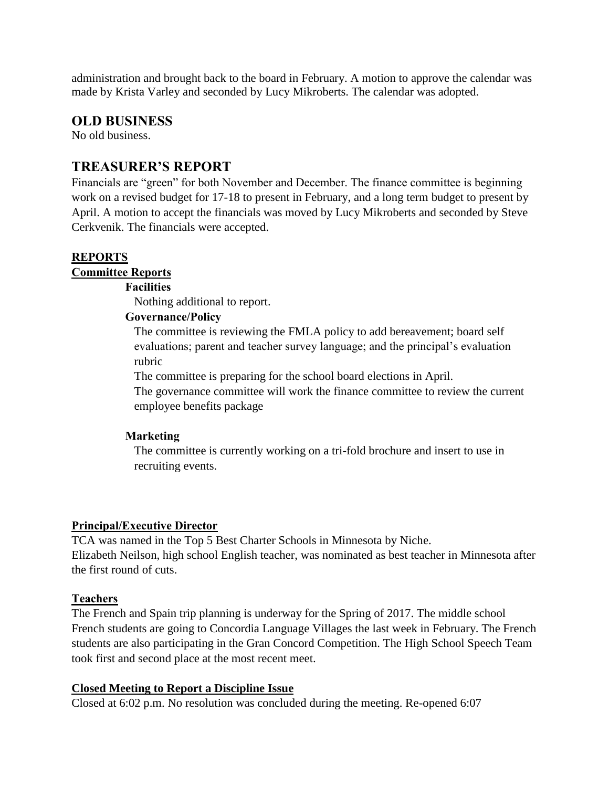administration and brought back to the board in February. A motion to approve the calendar was made by Krista Varley and seconded by Lucy Mikroberts. The calendar was adopted.

## **OLD BUSINESS**

No old business.

## **TREASURER'S REPORT**

Financials are "green" for both November and December. The finance committee is beginning work on a revised budget for 17-18 to present in February, and a long term budget to present by April. A motion to accept the financials was moved by Lucy Mikroberts and seconded by Steve Cerkvenik. The financials were accepted.

## **REPORTS**

#### **Committee Reports**

### **Facilities**

Nothing additional to report.

### **Governance/Policy**

The committee is reviewing the FMLA policy to add bereavement; board self evaluations; parent and teacher survey language; and the principal's evaluation rubric

The committee is preparing for the school board elections in April.

The governance committee will work the finance committee to review the current employee benefits package

### **Marketing**

The committee is currently working on a tri-fold brochure and insert to use in recruiting events.

### **Principal/Executive Director**

TCA was named in the Top 5 Best Charter Schools in Minnesota by Niche. Elizabeth Neilson, high school English teacher, was nominated as best teacher in Minnesota after the first round of cuts.

### **Teachers**

The French and Spain trip planning is underway for the Spring of 2017. The middle school French students are going to Concordia Language Villages the last week in February. The French students are also participating in the Gran Concord Competition. The High School Speech Team took first and second place at the most recent meet.

### **Closed Meeting to Report a Discipline Issue**

Closed at 6:02 p.m. No resolution was concluded during the meeting. Re-opened 6:07